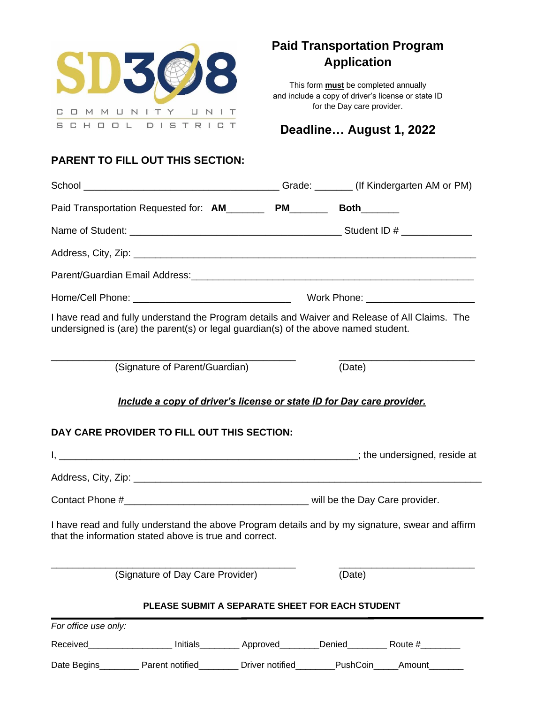

# **Paid Transportation Program Application**

This form **must** be completed annually and include a copy of driver's license or state ID for the Day care provider.

# **Deadline… August 1, 2022**

# **PARENT TO FILL OUT THIS SECTION:**

|                                  | Paid Transportation Requested for: AM________ PM_______ Both______                                                                                                                    |  |        |        |  |
|----------------------------------|---------------------------------------------------------------------------------------------------------------------------------------------------------------------------------------|--|--------|--------|--|
|                                  |                                                                                                                                                                                       |  |        |        |  |
|                                  |                                                                                                                                                                                       |  |        |        |  |
|                                  |                                                                                                                                                                                       |  |        |        |  |
|                                  |                                                                                                                                                                                       |  |        |        |  |
|                                  | I have read and fully understand the Program details and Waiver and Release of All Claims. The<br>undersigned is (are) the parent(s) or legal guardian(s) of the above named student. |  |        |        |  |
|                                  | (Signature of Parent/Guardian)                                                                                                                                                        |  | (Date) |        |  |
|                                  | DAY CARE PROVIDER TO FILL OUT THIS SECTION:                                                                                                                                           |  |        |        |  |
|                                  |                                                                                                                                                                                       |  |        |        |  |
|                                  |                                                                                                                                                                                       |  |        |        |  |
|                                  | I have read and fully understand the above Program details and by my signature, swear and affirm<br>that the information stated above is true and correct.                            |  |        |        |  |
| (Signature of Day Care Provider) |                                                                                                                                                                                       |  | (Date) |        |  |
|                                  | PLEASE SUBMIT A SEPARATE SHEET FOR EACH STUDENT                                                                                                                                       |  |        |        |  |
| For office use only:             |                                                                                                                                                                                       |  |        |        |  |
|                                  | Received____________________ Initials__________ Approved_________Denied_________ Route #_________                                                                                     |  |        |        |  |
|                                  | Date Begins__________ Parent notified_________ Driver notified________PushCoin____                                                                                                    |  |        | Amount |  |